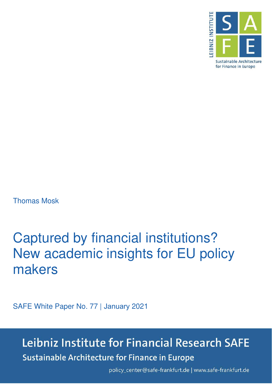

Thomas Mosk

# Captured by financial institutions? New academic insights for EU policy makers

SAFE White Paper No. 77 | January 2021

## Leibniz Institute for Financial Research SAFE **Sustainable Architecture for Finance in Europe**

policy\_center@safe-frankfurt.de | www.safe-frankfurt.de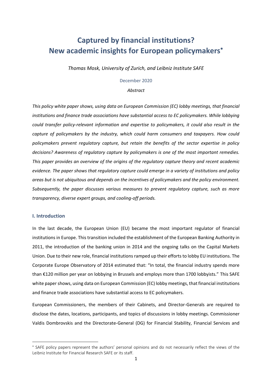### **Captured by financial institutions? New academic insights for European policymakers**

*Thomas Mosk, University of Zurich, and Leibniz Institute SAFE*

#### December 2020

#### *Abstract*

*This policy white paper shows, using data on European Commission (EC) lobby meetings, that financial institutions and finance trade associations have substantial access to EC policymakers. While lobbying could transfer policy-relevant information and expertise to policymakers, it could also result in the capture of policymakers by the industry, which could harm consumers and taxpayers. How could policymakers prevent regulatory capture, but retain the benefits of the sector expertise in policy decisions? Awareness of regulatory capture by policymakers is one of the most important remedies. This paper provides an overview of the origins of the regulatory capture theory and recent academic evidence. The paper shows that regulatory capture could emerge in a variety of institutions and policy areas but is not ubiquitous and depends on the incentives of policymakers and the policy environment. Subsequently, the paper discusses various measures to prevent regulatory capture, such as more transparency, diverse expert groups, and cooling-off periods.*

#### **I. Introduction**

In the last decade, the European Union (EU) became the most important regulator of financial institutions in Europe. This transition included the establishment of the European Banking Authority in 2011, the introduction of the banking union in 2014 and the ongoing talks on the Capital Markets Union. Due to their new role, financial institutions ramped up their efforts to lobby EU institutions. The Corporate Europe Observatory of 2014 estimated that: "In total, the financial industry spends more than €120 million per year on lobbying in Brussels and employs more than 1700 lobbyists." This SAFE white paper shows, using data on European Commission (EC) lobby meetings, that financial institutions and finance trade associations have substantial access to EC policymakers.

European Commissioners, the members of their Cabinets, and Director-Generals are required to disclose the dates, locations, participants, and topics of discussions in lobby meetings. Commissioner Valdis Dombrovskis and the Directorate‑General (DG) for Financial Stability, Financial Services and

SAFE policy papers represent the authors' personal opinions and do not necessarily reflect the views of the Leibniz Institute for Financial Research SAFE or its staff.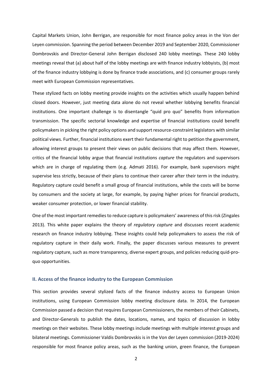Capital Markets Union, John Berrigan, are responsible for most finance policy areas in the Von der Leyen commission. Spanning the period between December 2019 and September 2020, Commissioner Dombrovskis and Director-General John Berrigan disclosed 240 lobby meetings. These 240 lobby meetings reveal that (a) about half of the lobby meetings are with finance industry lobbyists, (b) most of the finance industry lobbying is done by finance trade associations, and (c) consumer groups rarely meet with European Commission representatives.

These stylized facts on lobby meeting provide insights on the activities which usually happen behind closed doors. However, just meeting data alone do not reveal whether lobbying benefits financial institutions. One important challenge is to disentangle "quid pro quo" benefits from information transmission. The specific sectorial knowledge and expertise of financial institutions could benefit policymakers in picking the right policy options and support resource-constraint legislators with similar political views. Further, financial institutions exert their fundamental right to petition the government, allowing interest groups to present their views on public decisions that may affect them. However, critics of the financial lobby argue that financial institutions *capture* the regulators and supervisors which are in charge of regulating them (e.g. Admati 2016). For example, bank supervisors might supervise less strictly, because of their plans to continue their career after their term in the industry. Regulatory capture could benefit a small group of financial institutions, while the costs will be borne by consumers and the society at large, for example, by paying higher prices for financial products, weaker consumer protection, or lower financial stability.

One of the most important remedies to reduce capture is policymakers' awareness of this risk (Zingales 2013). This white paper explains the theory of *regulatory capture* and discusses recent academic research on finance industry lobbying. These insights could help policymakers to assess the risk of regulatory capture in their daily work. Finally, the paper discusses various measures to prevent regulatory capture, such as more transparency, diverse expert groups, and policies reducing quid-proquo opportunities.

#### **II. Access of the finance industry to the European Commission**

This section provides several stylized facts of the finance industry access to European Union institutions, using European Commission lobby meeting disclosure data. In 2014, the European Commission passed a decision that requires European Commissioners, the members of their Cabinets, and Director-Generals to publish the dates, locations, names, and topics of discussion in lobby meetings on their websites. These lobby meetings include meetings with multiple interest groups and bilateral meetings. Commissioner Valdis Dombrovskis is in the Von der Leyen commission (2019-2024) responsible for most finance policy areas, such as the banking union, green finance, the European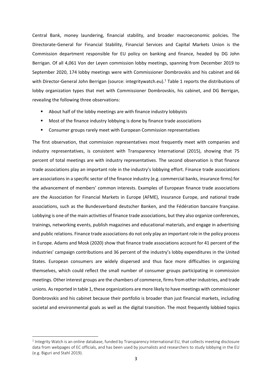Central Bank, money laundering, financial stability, and broader macroeconomic policies. The Directorate‑General for Financial Stability, Financial Services and Capital Markets Union is the Commission department responsible for EU policy on banking and finance, headed by DG John Berrigan. Of all 4,061 Von der Leyen commission lobby meetings, spanning from December 2019 to September 2020, 174 lobby meetings were with Commissioner Dombrovskis and his cabinet and 66 with Director-General John Berrigan (source: integritywatch.eu).<sup>1</sup> Table 1 reports the distributions of lobby organization types that met with Commissioner Dombrovskis, his cabinet, and DG Berrigan, revealing the following three observations:

- About half of the lobby meetings are with finance industry lobbyists
- Most of the finance industry lobbying is done by finance trade associations
- Consumer groups rarely meet with European Commission representatives

The first observation, that commission representatives most frequently meet with companies and industry representatives, is consistent with Transparency International (2015), showing that 75 percent of total meetings are with industry representatives. The second observation is that finance trade associations play an important role in the industry's lobbying effort. Finance trade associations are associations in a specific sector of the finance industry (e.g. commercial banks, insurance firms) for the advancement of members' common interests. Examples of European finance trade associations are the Association for Financial Markets in Europe (AFME), Insurance Europe, and national trade associations, such as the Bundesverband deutscher Banken, and the Fédération bancaire française. Lobbying is one of the main activities of finance trade associations, but they also organize conferences, trainings, networking events, publish magazines and educational materials, and engage in advertising and public relations. Finance trade associations do not only play an important role in the policy process in Europe. Adams and Mosk (2020) show that finance trade associations account for 41 percent of the industries' campaign contributions and 36 percent of the industry's lobby expenditures in the United States. European consumers are widely dispersed and thus face more difficulties in organizing themselves, which could reflect the small number of consumer groups participating in commission meetings. Other interest groups are the chambers of commerce, firms from other industries, and trade unions. As reported in table 1, these organizations are more likely to have meetings with commissioner Dombrovskis and his cabinet because their portfolio is broader than just financial markets, including societal and environmental goals as well as the digital transition. The most frequently lobbied topics

 $1$  Integrity Watch is an online database, funded by Transparency International EU, that collects meeting disclosure data from webpages of EC officials, and has been used by journalists and researchers to study lobbying in the EU (e.g. Biguri and Stahl 2019).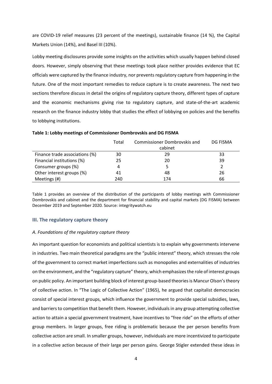are COVID-19 relief measures (23 percent of the meetings), sustainable finance (14 %), the Capital Markets Union (14%), and Basel III (10%).

Lobby meeting disclosures provide some insights on the activities which usually happen behind closed doors. However, simply observing that these meetings took place neither provides evidence that EC officials were captured by the finance industry, nor prevents regulatory capture from happening in the future. One of the most important remedies to reduce capture is to create awareness. The next two sections therefore discuss in detail the origins of regulatory capture theory, different types of capture and the economic mechanisms giving rise to regulatory capture, and state-of-the-art academic research on the finance industry lobby that studies the effect of lobbying on policies and the benefits to lobbying institutions.

|                                | Total | Commissioner Dombrovskis and | DG FISMA |
|--------------------------------|-------|------------------------------|----------|
|                                |       | cabinet                      |          |
| Finance trade associations (%) | 30    | 29                           | 33       |
| Financial institutions (%)     | 25    | 20                           | 39       |
| Consumer groups (%)            |       | 5                            |          |
| Other interest groups (%)      | 41    | 48                           | 26       |
| Meetings (#)                   | 240   | 174                          | 66       |

#### **Table 1: Lobby meetings of Commissioner Dombrovskis and DG FISMA**

Table 1 provides an overview of the distribution of the participants of lobby meetings with Commissioner Dombrovskis and cabinet and the department for financial stability and capital markets (DG FISMA) between December 2019 and September 2020*.* Source: integritywatch.eu

#### **III. The regulatory capture theory**

#### *A. Foundations of the regulatory capture theory*

An important question for economists and political scientists is to explain why governments intervene in industries. Two main theoretical paradigms are the "public interest" theory, which stresses the role of the government to correct market imperfections such as monopolies and externalities of industries on the environment, and the "regulatory capture" theory, which emphasizes the role of interest groups on public policy. An important building block of interest group-based theories is Mancur Olson's theory of collective action. In "The Logic of Collective Action" (1965), he argued that capitalist democracies consist of special interest groups, which influence the government to provide special subsidies, laws, and barriers to competition that benefit them. However, individuals in any group attempting collective action to attain a special government treatment, have incentives to "free ride" on the efforts of other group members. In larger groups, free riding is problematic because the per person benefits from collective action are small. In smaller groups, however, individuals are more incentivized to participate in a collective action because of their large per person gains. George Stigler extended these ideas in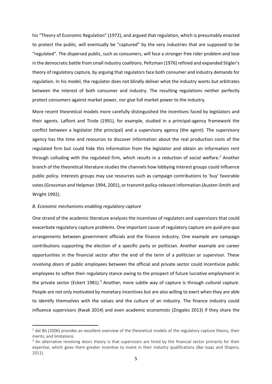his "Theory of Economic Regulation" (1972), and argued that regulation, which is presumably enacted to protect the public, will eventually be "captured" by the very industries that are supposed to be "regulated". The dispersed public, such as consumers, will face a stronger free rider problem and lose in the democratic battle from small industry coalitions. Peltzman (1976) refined and expanded Stigler's theory of regulatory capture, by arguing that regulators face both consumer and industry demands for regulation. In his model, the regulator does not blindly deliver what the industry wants but arbitrates between the interest of both consumer and industry. The resulting regulations neither perfectly protect consumers against market power, nor give full market power to the industry.

More recent theoretical models more carefully distinguished the incentives faced by legislators and their agents. Laffont and Tirole (1991), for example, studied in a principal-agency framework the conflict between a legislator (the principal) and a supervisory agency (the agent). The supervisory agency has the time and resources to discover information about the real production costs of the regulated firm but could hide this information from the legislator and obtain an information rent through colluding with the regulated firm, which results in a reduction of social welfare.<sup>2</sup> Another branch of the theoretical literature studies the channels how lobbying interest groups could influence public policy. Interests groups may use resources such as campaign contributions to 'buy' favorable votes (Grossman and Helpman 1994, 2001), or transmit policy-relevant information (Austen-Smith and Wright 1992).

#### *B. Economic mechanisms enabling regulatory capture*

One strand of the academic literature analyzes the incentives of regulators and supervisors that could exacerbate regulatory capture problems. One important cause of regulatory capture are *quid-pro-quo*  arrangements between government officials and the finance industry. One example are campaign contributions supporting the election of a specific party or politician. Another example are career opportunities in the financial sector after the end of the term of a politician or supervisor. These *revolving doors* of public employees between the official and private sector could incentivize public employees to soften their regulatory stance owing to the prospect of future lucrative employment in the private sector (Eckert 1981).<sup>3</sup> Another, more subtle way of capture is through *cultural capture*. People are not only motivated by monetary incentives but are also willing to exert when they are able to identify themselves with the values and the culture of an industry. The finance industry could influence supervisors (Kwak 2014) and even academic economists (Zingales 2013) if they share the

 $<sup>2</sup>$  dal Bó (2006) provides an excellent overview of the theoretical models of the regulatory capture theory, their</sup> merits, and limitations.

 $3$  An alternative revolving doors theory is that supervisors are hired by the financial sector primarily for their expertise, which gives them greater incentive to invest in their industry qualifications (Bar-Isaac and Shapiro, 2011).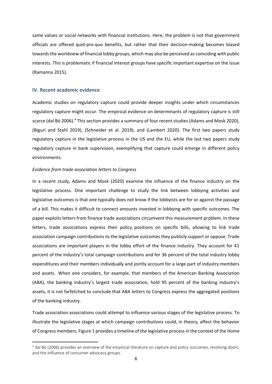same values or social networks with financial institutions. Here, the problem is not that government officials are offered quid-pro-quo benefits, but rather that their decision-making becomes biased towards the worldview of financial lobby groups, which may also be perceived as coinciding with public interests. This is problematic if financial interest groups have specific important expertise on the issue (Ramanna 2015).

#### **IV. Recent academic evidence**

Academic studies on regulatory capture could provide deeper insights under which circumstances regulatory capture might occur. The empirical evidence on determinants of regulatory capture is still scarce (dal Bó 2006).<sup>4</sup> This section provides a summary of four recent studies (Adams and Mosk 2020), (Biguri and Stahl 2019), (Schneider et al. 2019), and (Lambert 2020). The first two papers study regulatory capture in the legislative process in the US and the EU, while the last two papers study regulatory capture in bank supervision, exemplifying that capture could emerge in different policy environments.

#### *Evidence from trade association letters to Congress*

In a recent study, Adams and Mosk (2020) examine the influence of the finance industry on the legislative process. One important challenge to study the link between lobbying activities and legislative outcomes is that one typically does not know if the lobbyists are for or against the passage of a bill. This makes it difficult to connect amounts invested in lobbying with specific outcomes. The paper exploits letters from finance trade associations circumvent this measurement problem. In these letters, trade associations express their policy positions on specific bills, allowing to link trade association campaign contributions to the legislative outcomes they publicly support or oppose. Trade associations are important players in the lobby effort of the finance industry. They account for 41 percent of the industry's total campaign contributions and for 36 percent of the total industry lobby expenditures and their members individually and jointly account for a large part of industry members and assets. When one considers, for example, that members of the American Banking Association (ABA), the banking industry's largest trade association, hold 95 percent of the banking industry's assets, it is not farfetched to conclude that ABA letters to Congress express the aggregated positions of the banking industry.

Trade association associations could attempt to influence various stages of the legislative process. To illustrate the legislative stages at which campaign contributions could, in theory, affect the behavior of Congress members, Figure 1 provides a timeline of the legislative process in the context of the Home

<sup>&</sup>lt;sup>4</sup> dal Bó (2006) provides an overview of the empirical literature on capture and policy outcomes, revolving doors, and the influence of consumer advocacy groups.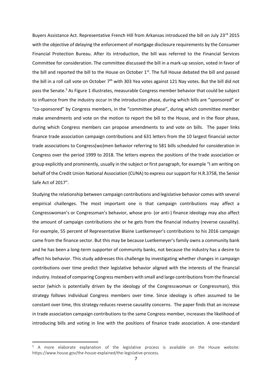Buyers Assistance Act. Representative French Hill from Arkansas introduced the bill on July 23<sup>rd</sup> 2015 with the objective of delaying the enforcement of mortgage disclosure requirements by the Consumer Financial Protection Bureau. After its introduction, the bill was referred to the Financial Services Committee for consideration. The committee discussed the bill in a mark-up session, voted in favor of the bill and reported the bill to the House on October 1<sup>st</sup>. The full House debated the bill and passed the bill in a roll call vote on October  $7<sup>th</sup>$  with 303 Yea votes against 121 Nay votes. But the bill did not pass the Senate.<sup>5</sup> As Figure 1 illustrates, measurable Congress member behavior that could be subject to influence from the industry occur in the introduction phase, during which bills are "sponsored" or "co-sponsored" by Congress members, in the "committee phase", during which committee member make amendments and vote on the motion to report the bill to the House, and in the floor phase, during which Congress members can propose amendments to and vote on bills. The paper links finance trade association campaign contributions and 631 letters from the 10 largest financial sector trade associations to Congress(wo)men behavior referring to 581 bills scheduled for consideration in Congress over the period 1999 to 2018. The letters express the positions of the trade association or group explicitly and prominently, usually in the subject or first paragraph, for example "I am writing on behalf of the Credit Union National Association (CUNA) to express our support for H.R.3758, the Senior Safe Act of 2017".

Studying the relationship between campaign contributions and legislative behavior comes with several empirical challenges. The most important one is that campaign contributions may affect a Congresswoman's or Congressman's behavior, whose pro- (or anti-) finance ideology may also affect the amount of campaign contributions she or he gets from the financial industry (reverse causality). For example, 55 percent of Representative Blaine Luetkemeyer's contributions to his 2016 campaign came from the finance sector. But this may be because Luetkemeyer's family owns a community bank and he has been a long-term supporter of community banks, not because the industry has a desire to affect his behavior. This study addresses this challenge by investigating whether changes in campaign contributions over time predict their legislative behavior aligned with the interests of the financial industry. Instead of comparing Congress members with small and large contributions from the financial sector (which is potentially driven by the ideology of the Congresswoman or Congressman), this strategy follows individual Congress members over time. Since ideology is often assumed to be constant over time, this strategy reduces reverse causality concerns. The paper finds that an increase in trade association campaign contributions to the same Congress member, increases the likelihood of introducing bills and voting in line with the positions of finance trade association. A one-standard

<sup>5</sup> A more elaborate explanation of the legislative process is available on the House website: https://www.house.gov/the-house-explained/the-legislative-process.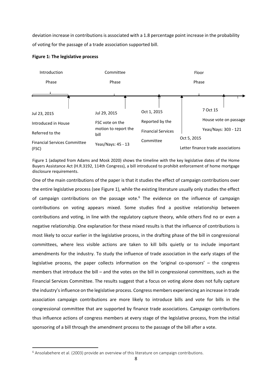deviation increase in contributions is associated with a 1.8 percentage point increase in the probability of voting for the passage of a trade association supported bill.

#### **Figure 1: The legislative process**



Figure 1 (adapted from Adams and Mosk 2020) shows the timeline with the key legislative dates of the Home Buyers Assistance Act (H.R.3192, 114th Congress), a bill introduced to prohibit enforcement of home mortgage disclosure requirements.

One of the main contributions of the paper is that it studies the effect of campaign contributions over the entire legislative process (see Figure 1), while the existing literature usually only studies the effect of campaign contributions on the passage vote.<sup>6</sup> The evidence on the influence of campaign contributions on voting appears mixed. Some studies find a positive relationship between contributions and voting, in line with the regulatory capture theory, while others find no or even a negative relationship. One explanation for these mixed results is that the influence of contributions is most likely to occur earlier in the legislative process, in the drafting phase of the bill in congressional committees, where less visible actions are taken to kill bills quietly or to include important amendments for the industry. To study the influence of trade association in the early stages of the legislative process, the paper collects information on the 'original co-sponsors' – the congress members that introduce the bill – and the votes on the bill in congressional committees, such as the Financial Services Committee. The results suggest that a focus on voting alone does not fully capture the industry's influence on the legislative process. Congress members experiencing an increase in trade association campaign contributions are more likely to introduce bills and vote for bills in the congressional committee that are supported by finance trade associations. Campaign contributions thus influence actions of congress members at every stage of the legislative process, from the initial sponsoring of a bill through the amendment process to the passage of the bill after a vote.

 $6$  Ansolabehere et al. (2003) provide an overview of this literature on campaign contributions.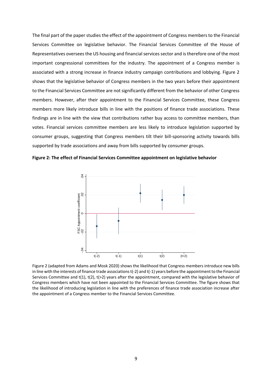The final part of the paper studies the effect of the appointment of Congress members to the Financial Services Committee on legislative behavior. The Financial Services Committee of the House of Representatives oversees the US housing and financial services sector and is therefore one of the most important congressional committees for the industry. The appointment of a Congress member is associated with a strong increase in finance industry campaign contributions and lobbying. Figure 2 shows that the legislative behavior of Congress members in the two years before their appointment to the Financial Services Committee are not significantly different from the behavior of other Congress members. However, after their appointment to the Financial Services Committee, these Congress members more likely introduce bills in line with the positions of finance trade associations. These findings are in line with the view that contributions rather buy access to committee members, than votes. Financial services committee members are less likely to introduce legislation supported by consumer groups, suggesting that Congress members tilt their bill-sponsoring activity towards bills supported by trade associations and away from bills supported by consumer groups.





Figure 2 (adapted from Adams and Mosk 2020) shows the likelihood that Congress members introduce new bills in line with the interests of finance trade associations t(-2) and t(-1) years before the appointment to the Financial Services Committee and t(1), t(2), t(>2) years after the appointment, compared with the legislative behavior of Congress members which have not been appointed to the Financial Services Committee. The figure shows that the likelihood of introducing legislation in line with the preferences of finance trade association increase after the appointment of a Congress member to the Financial Services Committee.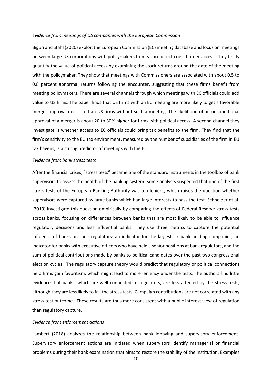#### *Evidence from meetings of US companies with the European Commission*

Biguri and Stahl (2020) exploit the European Commission (EC) meeting database and focus on meetings between large US corporations with policymakers to measure direct cross-border access. They firstly quantify the value of political access by examining the stock returns around the date of the meeting with the policymaker. They show that meetings with Commissioners are associated with about 0.5 to 0.8 percent abnormal returns following the encounter, suggesting that these firms benefit from meeting policymakers. There are several channels through which meetings with EC officials could add value to US firms. The paper finds that US firms with an EC meeting are more likely to get a favorable merger approval decision than US firms without such a meeting. The likelihood of an unconditional approval of a merger is about 20 to 30% higher for firms with political access. A second channel they investigate is whether access to EC officials could bring tax benefits to the firm. They find that the firm's sensitivity to the EU tax environment, measured by the number of subsidiaries of the firm in EU tax havens, is a strong predictor of meetings with the EC.

#### *Evidence from bank stress tests*

After the financial crises, "stress tests" became one of the standard instruments in the toolbox of bank supervisors to assess the health of the banking system. Some analysts suspected that one of the first stress tests of the European Banking Authority was too lenient, which raises the question whether supervisors were captured by large banks which had large interests to pass the test. Schneider et al. (2019) investigate this question empirically by comparing the effects of Federal Reserve stress tests across banks, focusing on differences between banks that are most likely to be able to influence regulatory decisions and less influential banks. They use three metrics to capture the potential influence of banks on their regulators: an indicator for the largest six bank holding companies, an indicator for banks with executive officers who have held a senior positions at bank regulators, and the sum of political contributions made by banks to political candidates over the past two congressional election cycles. The regulatory capture theory would predict that regulatory or political connections help firms gain favoritism, which might lead to more leniency under the tests. The authors find little evidence that banks, which are well connected to regulators, are less affected by the stress tests, although they are less likely to fail the stress tests. Campaign contributions are not correlated with any stress test outcome. These results are thus more consistent with a public interest view of regulation than regulatory capture.

#### *Evidence from enforcement actions*

Lambert (2018) analyzes the relationship between bank lobbying and supervisory enforcement. Supervisory enforcement actions are initiated when supervisors identify managerial or financial problems during their bank examination that aims to restore the stability of the institution. Examples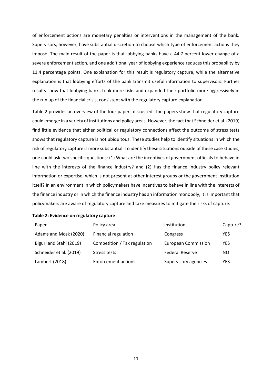of enforcement actions are monetary penalties or interventions in the management of the bank. Supervisors, however, have substantial discretion to choose which type of enforcement actions they impose. The main result of the paper is that lobbying banks have a 44.7 percent lower change of a severe enforcement action, and one additional year of lobbying experience reduces this probability by 11.4 percentage points. One explanation for this result is regulatory capture, while the alternative explanation is that lobbying efforts of the bank transmit useful information to supervisors. Further results show that lobbying banks took more risks and expanded their portfolio more aggressively in the run up of the financial crisis, consistent with the regulatory capture explanation.

Table 2 provides an overview of the four papers discussed. The papers show that regulatory capture could emerge in a variety of institutions and policy areas. However, the fact that Schneider et al. (2019) find little evidence that either political or regulatory connections affect the outcome of stress tests shows that regulatory capture is not ubiquitous. These studies help to identify situations in which the risk of regulatory capture is more substantial. To identify these situations outside of these case studies, one could ask two specific questions: (1) What are the incentives of government officials to behave in line with the interests of the finance industry? and (2) Has the finance industry policy relevant information or expertise, which is not present at other interest groups or the government institution itself? In an environment in which policymakers have incentives to behave in line with the interests of the finance industry or in which the finance industry has an information monopoly, it is important that policymakers are aware of regulatory capture and take measures to mitigate the risks of capture.

| Paper                   | Policy area                  | Institution                | Capture?   |
|-------------------------|------------------------------|----------------------------|------------|
| Adams and Mosk (2020)   | Financial regulation         | Congress                   | YES        |
| Biguri and Stahl (2019) | Competition / Tax regulation | <b>European Commission</b> | <b>YES</b> |
| Schneider et al. (2019) | Stress tests                 | <b>Federal Reserve</b>     | NO.        |
| Lambert (2018)          | <b>Enforcement actions</b>   | Supervisory agencies       | YES        |

| Table 2: Evidence on regulatory capture |  |  |
|-----------------------------------------|--|--|
|-----------------------------------------|--|--|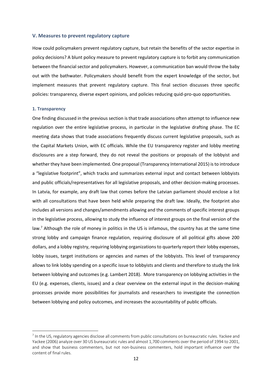#### **V. Measures to prevent regulatory capture**

How could policymakers prevent regulatory capture, but retain the benefits of the sector expertise in policy decisions? A blunt policy measure to prevent regulatory capture is to forbit any communication between the financial sector and policymakers. However, a communication ban would throw the baby out with the bathwater. Policymakers should benefit from the expert knowledge of the sector, but implement measures that prevent regulatory capture. This final section discusses three specific policies: transparency, diverse expert opinions, and policies reducing quid-pro-quo opportunities.

#### **1. Transparency**

One finding discussed in the previous section is that trade associations often attempt to influence new regulation over the entire legislative process, in particular in the legislative drafting phase. The EC meeting data shows that trade associations frequently discuss current legislative proposals, such as the Capital Markets Union, with EC officials. While the EU transparency register and lobby meeting disclosures are a step forward, they do not reveal the positions or proposals of the lobbyist and whether they have been implemented. One proposal (Transparency International 2015) is to introduce a "legislative footprint", which tracks and summarizes external input and contact between lobbyists and public officials/representatives for all legislative proposals, and other decision-making processes. In Latvia, for example, any draft law that comes before the Latvian parliament should enclose a list with all consultations that have been held while preparing the draft law. Ideally, the footprint also includes all versions and changes/amendments allowing and the comments of specific interest groups in the legislative process, allowing to study the influence of interest groups on the final version of the law.<sup>7</sup> Although the role of money in politics in the US is infamous, the country has at the same time strong lobby and campaign finance regulation, requiring disclosure of all political gifts above 200 dollars, and a lobby registry, requiring lobbying organizations to quarterly report their lobby expenses, lobby issues, target institutions or agencies and names of the lobbyists. This level of transparency allows to link lobby spending on a specific issue to lobbyists and clients and therefore to study the link between lobbying and outcomes (e.g. Lambert 2018). More transparency on lobbying activities in the EU (e.g. expenses, clients, issues) and a clear overview on the external input in the decision-making processes provide more possibilities for journalists and researchers to investigate the connection between lobbying and policy outcomes, and increases the accountability of public officials.

<sup>&</sup>lt;sup>7</sup> In the US, regulatory agencies disclose all comments from public consultations on bureaucratic rules. Yackee and Yackee (2006) analyze over 30 US bureaucratic rules and almost 1,700 comments over the period of 1994 to 2001, and show that business commenters, but not non-business commenters, hold important influence over the content of final rules.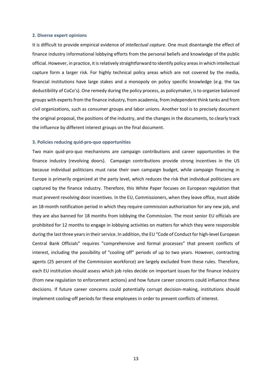#### **2. Diverse expert opinions**

It is difficult to provide empirical evidence of *intellectual capture*. One must disentangle the effect of finance industry informational lobbying efforts from the personal beliefs and knowledge of the public official. However, in practice, it is relatively straightforward to identify policy areas in which intellectual capture form a larger risk. For highly technical policy areas which are not covered by the media, financial institutions have large stakes and a monopoly on policy specific knowledge (e.g. the tax deductibility of CoCo's). One remedy during the policy process, as policymaker, is to organize balanced groups with experts from the finance industry, from academia, from independent think tanks and from civil organizations, such as consumer groups and labor unions. Another tool is to precisely document the original proposal, the positions of the industry, and the changes in the documents, to clearly track the influence by different interest groups on the final document.

#### **3. Policies reducing quid-pro-quo opportunities**

Two main quid-pro-quo mechanisms are campaign contributions and career opportunities in the finance industry (revolving doors). Campaign contributions provide strong incentives in the US because individual politicians must raise their own campaign budget, while campaign financing in Europe is primarily organized at the party level, which reduces the risk that individual politicians are captured by the finance industry. Therefore, this White Paper focuses on European regulation that must prevent revolving door incentives. In the EU, Commissioners, when they leave office, must abide an 18-month notification period in which they require commission authorization for any new job, and they are also banned for 18 months from lobbying the Commission. The most senior EU officials are prohibited for 12 months to engage in lobbying activities on matters for which they were responsible during the last three years in their service. In addition, the EU "Code of Conduct for high-level European Central Bank Officials" requires "comprehensive and formal processes" that prevent conflicts of interest, including the possibility of "cooling off" periods of up to two years. However, contracting agents (25 percent of the Commission workforce) are largely excluded from these rules. Therefore, each EU institution should assess which job roles decide on important issues for the finance industry (from new regulation to enforcement actions) and how future career concerns could influence these decisions. If future career concerns could potentially corrupt decision-making, institutions should implement cooling-off periods for these employees in order to prevent conflicts of interest.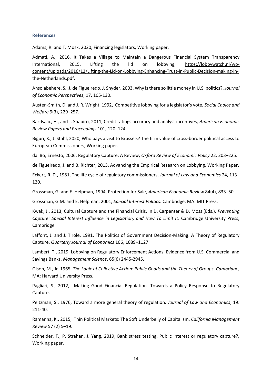#### **References**

Adams, R. and T. Mosk, 2020, Financing legislators, Working paper.

Admati, A., 2016, It Takes a Village to Maintain a Dangerous Financial System Transparency International, 2015, Lifting the lid on lobbying, [https://lobbywatch.nl/wp](https://lobbywatch.nl/wp-content/uploads/2016/12/Lifting-the-Lid-on-Lobbying-Enhancing-Trust-in-Public-Decision-making-in-the-Netherlands.pdf)[content/uploads/2016/12/Lifting-the-Lid-on-Lobbying-Enhancing-Trust-in-Public-Decision-making-in](https://lobbywatch.nl/wp-content/uploads/2016/12/Lifting-the-Lid-on-Lobbying-Enhancing-Trust-in-Public-Decision-making-in-the-Netherlands.pdf)[the-Netherlands.pdf.](https://lobbywatch.nl/wp-content/uploads/2016/12/Lifting-the-Lid-on-Lobbying-Enhancing-Trust-in-Public-Decision-making-in-the-Netherlands.pdf)

Ansolabehere, S., J. de Figueiredo, J. Snyder, 2003, Why is there so little money in U.S. politics?, *Journal of Economic Perspectives*, 17, 105-130.

Austen-Smith, D. and J. R. Wright, 1992, Competitive lobbying for a legislator's vote, *Social Choice and Welfare* 9(3), 229–257.

Bar-Isaac, H., and J. Shapiro, 2011, Credit ratings accuracy and analyst incentives, *American Economic Review Papers and Proceedings* 101, 120–124.

Biguri, K., J. Stahl, 2020, Who pays a visit to Brussels? The firm value of cross-border political access to European Commissioners, Working paper.

dal Bó, Ernesto, 2006, Regulatory Capture: A Review, *Oxford Review of Economic Policy* 22, 203–225.

de Figueiredo, J. and B. Richter, 2013, Advancing the Empirical Research on Lobbying, Working Paper.

Eckert, R. D., 1981, The life cycle of regulatory commissioners, *Journal of Law and Economics* 24, 113– 120.

Grossman, G. and E. Helpman, 1994, Protection for Sale, *American Economic Review* 84(4), 833–50.

Grossman, G.M. and E. Helpman, 2001, *Special Interest Politics*. Cambridge, MA: MIT Press.

Kwak, J., 2013, Cultural Capture and the Financial Crisis. In D. Carpenter & D. Moss (Eds.), *Preventing Capture: Special Interest Influence in Legislation, and How To Limit It*. Cambridge University Press, Cambridge

Laffont, J. and J. Tirole, 1991, The Politics of Government Decision-Making: A Theory of Regulatory Capture, *Quarterly Journal of Economics* 106, 1089–1127.

Lambert, T., 2019, Lobbying on Regulatory Enforcement Actions: Evidence from U.S. Commercial and Savings Banks, *Management Science*, 65(6) 2445-2945.

Olson, M., Jr. 1965. *The Logic of Collective Action: Public Goods and the Theory of Groups. Cambridge*, MA: Harvard University Press.

Pagliari, S., 2012, Making Good Financial Regulation. Towards a Policy Response to Regulatory Capture.

Peltzman, S., 1976, Toward a more general theory of regulation. *Journal of Law and Economics*, 19: 211-40.

Ramanna, K., 2015, Thin Political Markets: The Soft Underbelly of Capitalism, *California Management Review* 57 (2) 5–19.

Schneider, T., P. Strahan, J. Yang, 2019, Bank stress testing. Public interest or regulatory capture?, Working paper.